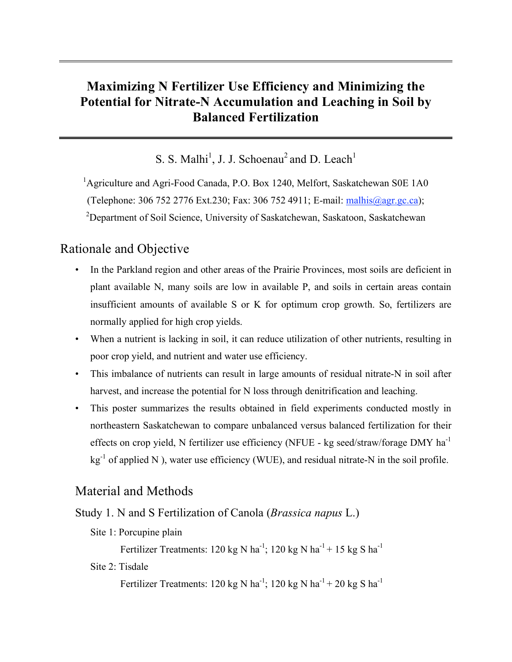# **Maximizing N Fertilizer Use Efficiency and Minimizing the Potential for Nitrate-N Accumulation and Leaching in Soil by Balanced Fertilization**

S. S. Malhi<sup>1</sup>, J. J. Schoenau<sup>2</sup> and D. Leach<sup>1</sup>

<sup>1</sup>Agriculture and Agri-Food Canada, P.O. Box 1240, Melfort, Saskatchewan S0E 1A0 (Telephone: 306 752 2776 Ext.230; Fax: 306 752 4911; E-mail: malhis@agr.gc.ca); <sup>2</sup>Department of Soil Science, University of Saskatchewan, Saskatoon, Saskatchewan

## Rationale and Objective

- In the Parkland region and other areas of the Prairie Provinces, most soils are deficient in plant available N, many soils are low in available P, and soils in certain areas contain insufficient amounts of available S or K for optimum crop growth. So, fertilizers are normally applied for high crop yields.
- When a nutrient is lacking in soil, it can reduce utilization of other nutrients, resulting in poor crop yield, and nutrient and water use efficiency.
- This imbalance of nutrients can result in large amounts of residual nitrate-N in soil after harvest, and increase the potential for N loss through denitrification and leaching.
- This poster summarizes the results obtained in field experiments conducted mostly in northeastern Saskatchewan to compare unbalanced versus balanced fertilization for their effects on crop yield, N fertilizer use efficiency (NFUE - kg seed/straw/forage DMY  $ha^{-1}$  $kg<sup>-1</sup>$  of applied N ), water use efficiency (WUE), and residual nitrate-N in the soil profile.

# Material and Methods

Study 1. N and S Fertilization of Canola (*Brassica napus* L.)

Site 1: Porcupine plain

Fertilizer Treatments: 120 kg N ha<sup>-1</sup>; 120 kg N ha<sup>-1</sup> + 15 kg S ha<sup>-1</sup>

Site 2: Tisdale

Fertilizer Treatments: 120 kg N ha<sup>-1</sup>; 120 kg N ha<sup>-1</sup> + 20 kg S ha<sup>-1</sup>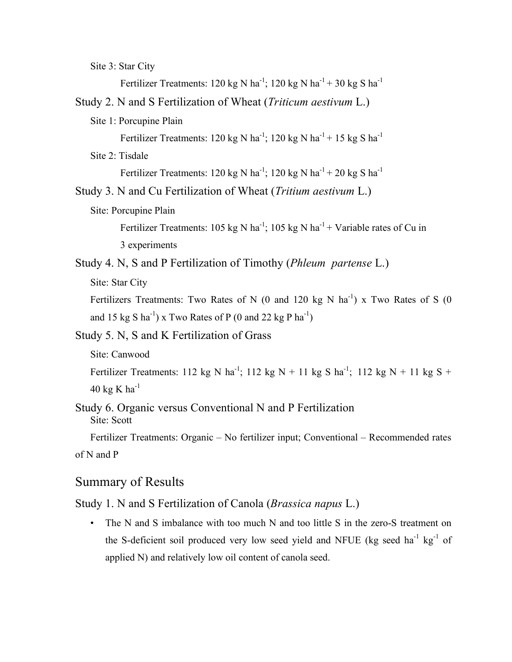Site 3: Star City

Fertilizer Treatments: 120 kg N ha<sup>-1</sup>; 120 kg N ha<sup>-1</sup> + 30 kg S ha<sup>-1</sup>

- Study 2. N and S Fertilization of Wheat (*Triticum aestivum* L.)
	- Site 1: Porcupine Plain

Fertilizer Treatments: 120 kg N ha<sup>-1</sup>; 120 kg N ha<sup>-1</sup> + 15 kg S ha<sup>-1</sup>

Site 2: Tisdale

Fertilizer Treatments: 120 kg N ha<sup>-1</sup>; 120 kg N ha<sup>-1</sup> + 20 kg S ha<sup>-1</sup>

Study 3. N and Cu Fertilization of Wheat (*Tritium aestivum* L.)

Site: Porcupine Plain

Fertilizer Treatments: 105 kg N ha<sup>-1</sup>; 105 kg N ha<sup>-1</sup> + Variable rates of Cu in 3 experiments

Study 4. N, S and P Fertilization of Timothy (*Phleum partense* L.)

Site: Star City

Fertilizers Treatments: Two Rates of N (0 and 120 kg N  $\text{ha}^{-1}$ ) x Two Rates of S (0 and 15 kg S ha<sup>-1</sup>) x Two Rates of P (0 and 22 kg P ha<sup>-1</sup>)

Study 5. N, S and K Fertilization of Grass

Site: Canwood

Fertilizer Treatments: 112 kg N ha<sup>-1</sup>; 112 kg N + 11 kg S ha<sup>-1</sup>; 112 kg N + 11 kg S + 40 kg K ha $^{-1}$ 

Study 6. Organic versus Conventional N and P Fertilization Site: Scott

Fertilizer Treatments: Organic – No fertilizer input; Conventional – Recommended rates of N and P

### Summary of Results

Study 1. N and S Fertilization of Canola (*Brassica napus* L.)

• The N and S imbalance with too much N and too little S in the zero-S treatment on the S-deficient soil produced very low seed yield and NFUE (kg seed ha<sup>-1</sup> kg<sup>-1</sup> of applied N) and relatively low oil content of canola seed.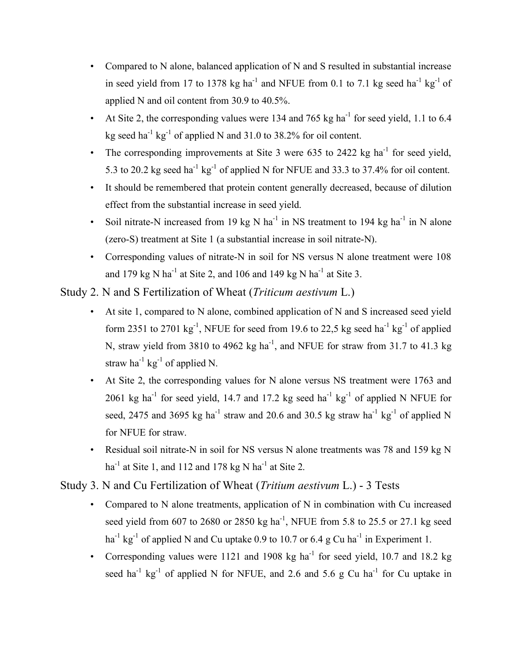- Compared to N alone, balanced application of N and S resulted in substantial increase in seed yield from 17 to 1378 kg ha<sup>-1</sup> and NFUE from 0.1 to 7.1 kg seed ha<sup>-1</sup> kg<sup>-1</sup> of applied N and oil content from 30.9 to 40.5%.
- At Site 2, the corresponding values were 134 and 765 kg ha<sup>-1</sup> for seed yield, 1.1 to 6.4 kg seed ha<sup>-1</sup> kg<sup>-1</sup> of applied N and 31.0 to 38.2% for oil content.
- The corresponding improvements at Site 3 were 635 to 2422 kg ha<sup>-1</sup> for seed yield, 5.3 to 20.2 kg seed ha<sup>-1</sup> kg<sup>-1</sup> of applied N for NFUE and 33.3 to 37.4% for oil content.
- It should be remembered that protein content generally decreased, because of dilution effect from the substantial increase in seed yield.
- Soil nitrate-N increased from 19 kg N ha<sup>-1</sup> in NS treatment to 194 kg ha<sup>-1</sup> in N alone (zero-S) treatment at Site 1 (a substantial increase in soil nitrate-N).
- Corresponding values of nitrate-N in soil for NS versus N alone treatment were 108 and 179 kg N ha<sup>-1</sup> at Site 2, and 106 and 149 kg N ha<sup>-1</sup> at Site 3.

Study 2. N and S Fertilization of Wheat (*Triticum aestivum* L.)

- At site 1, compared to N alone, combined application of N and S increased seed yield form 2351 to 2701  $\text{kg}^{-1}$ , NFUE for seed from 19.6 to 22,5 kg seed ha<sup>-1</sup> kg<sup>-1</sup> of applied N, straw yield from 3810 to 4962  $kg$  ha<sup>-1</sup>, and NFUE for straw from 31.7 to 41.3 kg straw ha<sup>-1</sup> kg<sup>-1</sup> of applied N.
- At Site 2, the corresponding values for N alone versus NS treatment were 1763 and 2061 kg ha<sup>-1</sup> for seed yield, 14.7 and 17.2 kg seed ha<sup>-1</sup> kg<sup>-1</sup> of applied N NFUE for seed, 2475 and 3695 kg ha<sup>-1</sup> straw and 20.6 and 30.5 kg straw ha<sup>-1</sup> kg<sup>-1</sup> of applied N for NFUE for straw.
- Residual soil nitrate-N in soil for NS versus N alone treatments was 78 and 159 kg N ha<sup>-1</sup> at Site 1, and 112 and 178 kg N ha<sup>-1</sup> at Site 2.

Study 3. N and Cu Fertilization of Wheat (*Tritium aestivum* L.) - 3 Tests

- Compared to N alone treatments, application of N in combination with Cu increased seed yield from 607 to 2680 or 2850 kg ha<sup>-1</sup>, NFUE from 5.8 to 25.5 or 27.1 kg seed ha<sup>-1</sup> kg<sup>-1</sup> of applied N and Cu uptake 0.9 to 10.7 or 6.4 g Cu ha<sup>-1</sup> in Experiment 1.
- Corresponding values were 1121 and 1908 kg ha<sup>-1</sup> for seed yield, 10.7 and 18.2 kg seed ha<sup>-1</sup> kg<sup>-1</sup> of applied N for NFUE, and 2.6 and 5.6 g Cu ha<sup>-1</sup> for Cu uptake in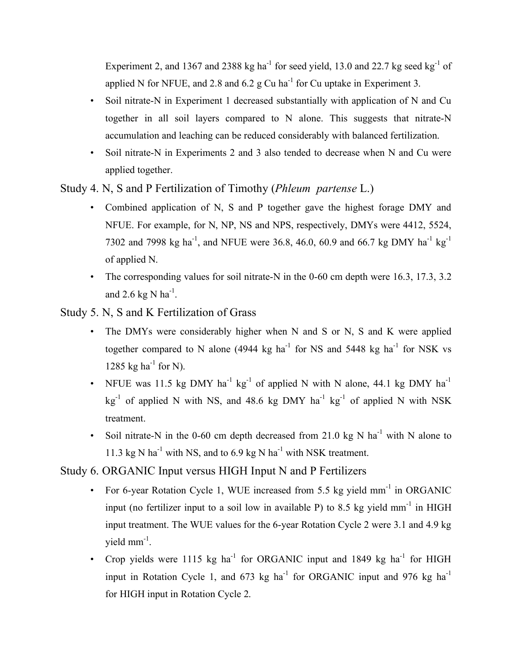Experiment 2, and 1367 and 2388 kg ha<sup>-1</sup> for seed yield, 13.0 and 22.7 kg seed kg<sup>-1</sup> of applied N for NFUE, and 2.8 and 6.2 g Cu ha<sup>-1</sup> for Cu uptake in Experiment 3.

- Soil nitrate-N in Experiment 1 decreased substantially with application of N and Cu together in all soil layers compared to N alone. This suggests that nitrate-N accumulation and leaching can be reduced considerably with balanced fertilization.
- Soil nitrate-N in Experiments 2 and 3 also tended to decrease when N and Cu were applied together.

Study 4. N, S and P Fertilization of Timothy (*Phleum partense* L.)

- Combined application of N, S and P together gave the highest forage DMY and NFUE. For example, for N, NP, NS and NPS, respectively, DMYs were 4412, 5524, 7302 and 7998 kg ha<sup>-1</sup>, and NFUE were 36.8, 46.0, 60.9 and 66.7 kg DMY ha<sup>-1</sup> kg<sup>-1</sup> of applied N.
- The corresponding values for soil nitrate-N in the 0-60 cm depth were 16.3, 17.3, 3.2 and 2.6 kg N  $ha^{-1}$ .
- Study 5. N, S and K Fertilization of Grass
	- The DMYs were considerably higher when N and S or N, S and K were applied together compared to N alone (4944 kg ha<sup>-1</sup> for NS and 5448 kg ha<sup>-1</sup> for NSK vs 1285 kg ha $^{-1}$  for N).
	- NFUE was 11.5 kg DMY ha<sup>-1</sup> kg<sup>-1</sup> of applied N with N alone, 44.1 kg DMY ha<sup>-1</sup>  $kg^{-1}$  of applied N with NS, and 48.6 kg DMY ha<sup>-1</sup> kg<sup>-1</sup> of applied N with NSK treatment.
	- Soil nitrate-N in the 0-60 cm depth decreased from 21.0 kg N ha<sup>-1</sup> with N alone to 11.3 kg N ha<sup>-1</sup> with NS, and to 6.9 kg N ha<sup>-1</sup> with NSK treatment.

Study 6. ORGANIC Input versus HIGH Input N and P Fertilizers

- For 6-year Rotation Cycle 1, WUE increased from 5.5 kg yield mm<sup>-1</sup> in ORGANIC input (no fertilizer input to a soil low in available P) to 8.5 kg yield  $mm^{-1}$  in HIGH input treatment. The WUE values for the 6-year Rotation Cycle 2 were 3.1 and 4.9 kg yield  $mm^{-1}$ .
- Crop yields were 1115 kg ha<sup>-1</sup> for ORGANIC input and 1849 kg ha<sup>-1</sup> for HIGH input in Rotation Cycle 1, and  $673 \text{ kg}$  ha<sup>-1</sup> for ORGANIC input and  $976 \text{ kg}$  ha<sup>-1</sup> for HIGH input in Rotation Cycle 2.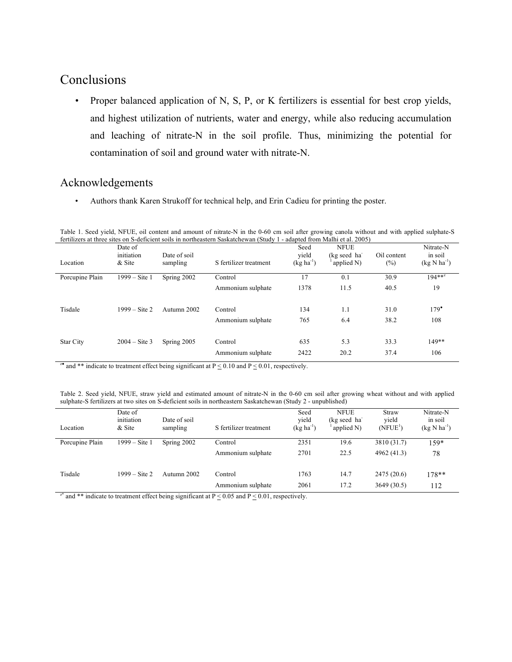### Conclusions

• Proper balanced application of N, S, P, or K fertilizers is essential for best crop yields, and highest utilization of nutrients, water and energy, while also reducing accumulation and leaching of nitrate-N in the soil profile. Thus, minimizing the potential for contamination of soil and ground water with nitrate-N.

#### Acknowledgements

• Authors thank Karen Strukoff for technical help, and Erin Cadieu for printing the poster.

Table 1. Seed yield, NFUE, oil content and amount of nitrate-N in the 0-60 cm soil after growing canola without and with applied sulphate-S fertilizers at three sites on S-deficient soils in northeastern Saskatchewan (Study 1 - adapted from Malhi et al. 2005)

|                 |                         |              | $1 - 1 - 1$            |                | $\frac{1}{2}$ |             |                  |
|-----------------|-------------------------|--------------|------------------------|----------------|---------------|-------------|------------------|
|                 | Date of                 |              |                        | Seed           | <b>NFUE</b>   |             | Nitrate-N        |
|                 | initiation              | Date of soil |                        | vield          | (kg seed ha   | Oil content | in soil          |
| Location        | & Site                  | sampling     | S fertilizer treatment | $(kg ha^{-1})$ | applied N)    | $(\%)$      | $(kg N ha^{-1})$ |
|                 |                         |              |                        |                |               |             |                  |
| Porcupine Plain | $1999 - Site 1$         | Spring 2002  | Control                | 17             | 0.1           | 30.9        | $194***$         |
|                 |                         |              | Ammonium sulphate      | 1378           | 11.5          | 40.5        | 19               |
|                 |                         |              |                        |                |               |             |                  |
|                 |                         |              |                        |                |               |             |                  |
| Tisdale         | $1999 - $ Site 2        | Autumn 2002  | Control                | 134            | 1.1           | 31.0        | $179^\bullet$    |
|                 |                         |              | Ammonium sulphate      | 765            | 6.4           | 38.2        | 108              |
|                 |                         |              |                        |                |               |             |                  |
| Star City       | $2004 - \text{Site } 3$ | Spring 2005  | Control                | 635            | 5.3           | 33.3        | 149**            |
|                 |                         |              |                        |                |               |             |                  |
|                 |                         |              | Ammonium sulphate      | 2422           | 20.2          | 37.4        | 106              |
|                 |                         |              |                        |                |               |             |                  |

<sup>z</sup> and \*\* indicate to treatment effect being significant at  $P \le 0.10$  and  $P \le 0.01$ , respectively.

Table 2. Seed yield, NFUE, straw yield and estimated amount of nitrate-N in the 0-60 cm soil after growing wheat without and with applied sulphate-S fertilizers at two sites on S-deficient soils in northeastern Saskatchewan (Study 2 - unpublished)

| Location        | Date of<br>initiation<br>& Site | Date of soil<br>sampling | S fertilizer treatment | Seed<br>vield<br>$(kg ha^{-1})$ | <b>NFUE</b><br>(kg seed ha<br>applied N) | <b>Straw</b><br>vield<br>(NFUE <sup>1</sup> ) | Nitrate-N<br>in soil<br>$(kg N ha^{-1})$ |
|-----------------|---------------------------------|--------------------------|------------------------|---------------------------------|------------------------------------------|-----------------------------------------------|------------------------------------------|
| Porcupine Plain | 1999 – Site 1                   | Spring 2002              | Control                | 2351                            | 19.6                                     | 3810 (31.7)                                   | $159*$                                   |
|                 |                                 |                          | Ammonium sulphate      | 2701                            | 22.5                                     | 4962 (41.3)                                   | 78                                       |
| Tisdale         | $1999 - \text{Site } 2$         | Autumn 2002              | Control                | 1763                            | 14.7                                     | 2475(20.6)                                    | $178**$                                  |
|                 |                                 |                          | Ammonium sulphate      | 2061                            | 17.2                                     | 3649(30.5)                                    | 112                                      |

<sup>z\*</sup> and \*\* indicate to treatment effect being significant at  $P \le 0.05$  and  $P \le 0.01$ , respectively.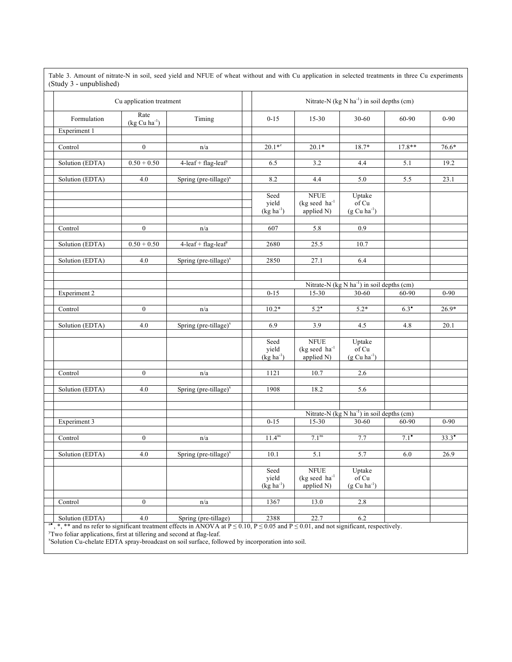| (Study 3 - unpublished)     |                           |                                                        |  |                                               |                                                           |                                                  |                 |          |  |  |
|-----------------------------|---------------------------|--------------------------------------------------------|--|-----------------------------------------------|-----------------------------------------------------------|--------------------------------------------------|-----------------|----------|--|--|
| Cu application treatment    |                           | Nitrate-N (kg N ha <sup>-1</sup> ) in soil depths (cm) |  |                                               |                                                           |                                                  |                 |          |  |  |
| Formulation                 | Rate<br>$(kg Cu ha^{-1})$ | Timing                                                 |  | $0 - 15$                                      | $15 - 30$                                                 | 30-60                                            | 60-90           | $0 - 90$ |  |  |
| Experiment 1                |                           |                                                        |  |                                               |                                                           |                                                  |                 |          |  |  |
| Control                     | $\boldsymbol{0}$          | n/a                                                    |  | $20.1**$                                      | $20.1*$                                                   | 18.7*                                            | $17.8**$        | 76.6*    |  |  |
|                             |                           |                                                        |  |                                               |                                                           |                                                  |                 |          |  |  |
| Solution (EDTA)             | $0.50 + 0.50$             | $4$ -leaf + flag-leaf <sup>y</sup>                     |  | 6.5                                           | 3.2                                                       | 4.4                                              | 5.1             | 19.2     |  |  |
| Solution (EDTA)             | 4.0                       | Spring (pre-tillage) $^x$                              |  | 8.2                                           | 4.4                                                       | 5.0                                              | 5.5             | 23.1     |  |  |
|                             |                           |                                                        |  | Seed<br>yield<br>$(kg ha-1)$                  | <b>NFUE</b><br>$(kg \text{ seed } ha^{-1})$<br>applied N) | Uptake<br>of Cu<br>$(g Cu ha^{-1})$              |                 |          |  |  |
|                             |                           |                                                        |  |                                               |                                                           |                                                  |                 |          |  |  |
| Control                     | $\boldsymbol{0}$          | n/a                                                    |  | 607                                           | 5.8                                                       | 0.9                                              |                 |          |  |  |
| Solution (EDTA)             | $0.50 + 0.50$             | $4$ -leaf + flag-leaf <sup>y</sup>                     |  | 2680                                          | 25.5                                                      | 10.7                                             |                 |          |  |  |
| Solution (EDTA)             | 4.0                       | Spring (pre-tillage) $^x$                              |  | 2850                                          | 27.1                                                      | 6.4                                              |                 |          |  |  |
|                             |                           |                                                        |  |                                               |                                                           |                                                  |                 |          |  |  |
|                             |                           |                                                        |  |                                               |                                                           |                                                  |                 |          |  |  |
|                             |                           |                                                        |  | Nitrate-N $(kg N ha-1)$ in soil depths $(cm)$ |                                                           |                                                  |                 |          |  |  |
| <b>Experiment 2</b>         |                           |                                                        |  | $0 - 15$                                      | 15-30                                                     | 30-60                                            | 60-90           | $0 - 90$ |  |  |
|                             |                           |                                                        |  |                                               |                                                           |                                                  |                 |          |  |  |
| $\overline{\text{Control}}$ | $\boldsymbol{0}$          | n/a                                                    |  | $10.2*$                                       | $5.2^{\bullet}$                                           | $5.2*$                                           | $6.3^{\bullet}$ | $26.9*$  |  |  |
| Solution (EDTA)             | 4.0                       | Spring (pre-tillage) $^x$                              |  | 6.9                                           | 3.9                                                       | 4.5                                              | 4.8             | 20.1     |  |  |
|                             |                           |                                                        |  |                                               |                                                           |                                                  |                 |          |  |  |
|                             |                           |                                                        |  | Seed                                          | $\rm{NFUE}$                                               | Uptake                                           |                 |          |  |  |
|                             |                           |                                                        |  | yield<br>$(kg ha^{-1})$                       | $(kg \text{ seed } ha^{-1})$                              | of Cu                                            |                 |          |  |  |
|                             |                           |                                                        |  |                                               | applied N)                                                | $(g Cu ha^{-1})$                                 |                 |          |  |  |
| Control                     | $\boldsymbol{0}$          | n/a                                                    |  | 1121                                          | 10.7                                                      | 2.6                                              |                 |          |  |  |
|                             |                           |                                                        |  |                                               |                                                           |                                                  |                 |          |  |  |
| Solution (EDTA)             | 4.0                       | Spring (pre-tillage) $^x$                              |  | 1908                                          | 18.2                                                      | 5.6                                              |                 |          |  |  |
|                             |                           |                                                        |  |                                               |                                                           |                                                  |                 |          |  |  |
|                             |                           |                                                        |  |                                               |                                                           | Nitrate-N $(kg N ha^{-1})$ in soil depths $(cm)$ |                 |          |  |  |
| Experiment 3                |                           |                                                        |  | $0 - 15$                                      | 15-30                                                     | 30-60                                            | 60-90           | $0 - 90$ |  |  |
|                             |                           |                                                        |  |                                               |                                                           |                                                  |                 |          |  |  |
| Control                     | $\boldsymbol{0}$          | n/a                                                    |  | 11.4 <sup>ns</sup>                            | 7.1 <sup>ns</sup>                                         | 7.7                                              | 7.1             | 33.3     |  |  |
| Solution (EDTA)             | $4.0\,$                   | Spring (pre-tillage)'                                  |  | 10.1                                          | 5.1                                                       | 5.7                                              | 6.0             | 26.9     |  |  |
|                             |                           |                                                        |  |                                               |                                                           |                                                  |                 |          |  |  |
|                             |                           |                                                        |  | Seed                                          | <b>NFUE</b>                                               | Uptake                                           |                 |          |  |  |
|                             |                           |                                                        |  | yield                                         | $(kg \text{ seed } ha^{-1})$                              | of Cu                                            |                 |          |  |  |
|                             |                           |                                                        |  | $(kg ha-1)$                                   | applied N)                                                | $(g Cu ha^{-1})$                                 |                 |          |  |  |
| Control                     | $\boldsymbol{0}$          | n/a                                                    |  | 1367                                          | 13.0                                                      | $2.8\,$                                          |                 |          |  |  |
|                             |                           |                                                        |  |                                               |                                                           |                                                  |                 |          |  |  |
| Solution (EDTA)             | $4.0\,$                   | Spring (pre-tillage)                                   |  | 2388                                          | 22.7                                                      | 6.2                                              |                 |          |  |  |

Table 3. Amount of nitrate-N in soil, seed yield and NFUE of wheat without and with Cu application in selected treatments in three Cu experiments

<sup>4</sup>, \*, \*\* and ns refer to significant treatment effects in ANOVA at  $P \le 0.10$ ,  $P \le 0.05$  and  $P \le 0.01$ , and not significant, respectively.<br><sup>y</sup>Two foliar applications, first at tillering and second at flag-leaf.<br><sup>\*</sup>Sol